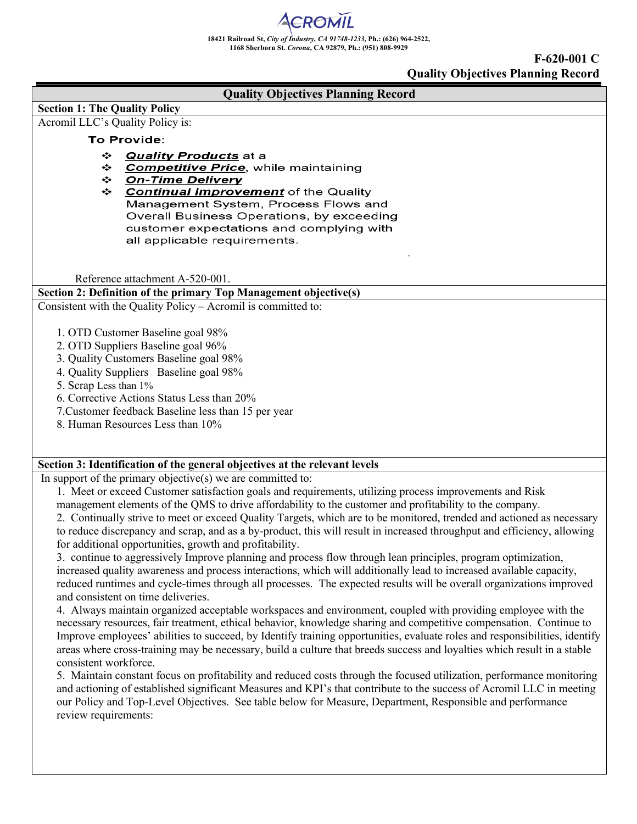**F-620-001 C Quality Objectives Planning Record**

| <b>Quality Objectives Planning Record</b>                                                                                                                 |  |  |  |  |  |
|-----------------------------------------------------------------------------------------------------------------------------------------------------------|--|--|--|--|--|
| <b>Section 1: The Quality Policy</b>                                                                                                                      |  |  |  |  |  |
| Acromil LLC's Quality Policy is:                                                                                                                          |  |  |  |  |  |
| To Provide:                                                                                                                                               |  |  |  |  |  |
| ❖<br><b>Quality Products at a</b>                                                                                                                         |  |  |  |  |  |
| <b>Competitive Price</b> , while maintaining<br>❖                                                                                                         |  |  |  |  |  |
| <b>On-Time Delivery</b><br>❖<br>❖<br><b>Continual Improvement</b> of the Quality                                                                          |  |  |  |  |  |
| Management System, Process Flows and                                                                                                                      |  |  |  |  |  |
| Overall Business Operations, by exceeding                                                                                                                 |  |  |  |  |  |
| customer expectations and complying with                                                                                                                  |  |  |  |  |  |
| all applicable requirements.                                                                                                                              |  |  |  |  |  |
|                                                                                                                                                           |  |  |  |  |  |
| Reference attachment A-520-001.                                                                                                                           |  |  |  |  |  |
| Section 2: Definition of the primary Top Management objective(s)                                                                                          |  |  |  |  |  |
| Consistent with the Quality Policy - Acromil is committed to:                                                                                             |  |  |  |  |  |
|                                                                                                                                                           |  |  |  |  |  |
| 1. OTD Customer Baseline goal 98%                                                                                                                         |  |  |  |  |  |
| 2. OTD Suppliers Baseline goal 96%                                                                                                                        |  |  |  |  |  |
| 3. Quality Customers Baseline goal 98%                                                                                                                    |  |  |  |  |  |
| 4. Quality Suppliers Baseline goal 98%                                                                                                                    |  |  |  |  |  |
| 5. Scrap Less than 1%                                                                                                                                     |  |  |  |  |  |
| 6. Corrective Actions Status Less than 20%                                                                                                                |  |  |  |  |  |
| 7. Customer feedback Baseline less than 15 per year                                                                                                       |  |  |  |  |  |
| 8. Human Resources Less than 10%                                                                                                                          |  |  |  |  |  |
|                                                                                                                                                           |  |  |  |  |  |
| Section 3: Identification of the general objectives at the relevant levels                                                                                |  |  |  |  |  |
| In support of the primary objective( $s$ ) we are committed to:                                                                                           |  |  |  |  |  |
| 1. Meet or exceed Customer satisfaction goals and requirements, utilizing process improvements and Risk                                                   |  |  |  |  |  |
| management elements of the QMS to drive affordability to the customer and profitability to the company.                                                   |  |  |  |  |  |
| 2. Continually strive to meet or exceed Quality Targets, which are to be monitored, trended and actioned as necessary                                     |  |  |  |  |  |
| to reduce discrepancy and scrap, and as a by-product, this will result in increased throughput and efficiency, allowing                                   |  |  |  |  |  |
| for additional opportunities, growth and profitability.                                                                                                   |  |  |  |  |  |
| 3. continue to aggressively Improve planning and process flow through lean principles, program optimization,                                              |  |  |  |  |  |
| increased quality awareness and process interactions, which will additionally lead to increased available capacity,                                       |  |  |  |  |  |
| reduced runtimes and cycle-times through all processes. The expected results will be overall organizations improved<br>and consistent on time deliveries. |  |  |  |  |  |
| 4. Always maintain organized acceptable workspaces and environment, coupled with providing employee with the                                              |  |  |  |  |  |
| necessary resources, fair treatment, ethical behavior, knowledge sharing and competitive compensation. Continue to                                        |  |  |  |  |  |
| Improve employees' abilities to succeed, by Identify training opportunities, evaluate roles and responsibilities, identify                                |  |  |  |  |  |
| areas where cross-training may be necessary, build a culture that breeds success and loyalties which result in a stable                                   |  |  |  |  |  |
| consistent workforce.                                                                                                                                     |  |  |  |  |  |
| 5. Maintain constant focus on profitability and reduced costs through the focused utilization, performance monitoring                                     |  |  |  |  |  |
| and actioning of established significant Measures and KPI's that contribute to the success of Acromil LLC in meeting                                      |  |  |  |  |  |
| our Policy and Top-Level Objectives. See table below for Measure, Department, Responsible and performance                                                 |  |  |  |  |  |
| review requirements:                                                                                                                                      |  |  |  |  |  |
|                                                                                                                                                           |  |  |  |  |  |